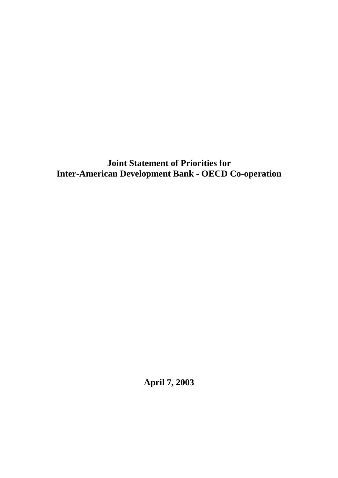**Joint Statement of Priorities for Inter-American Development Bank - OECD Co-operation** 

**April 7, 2003**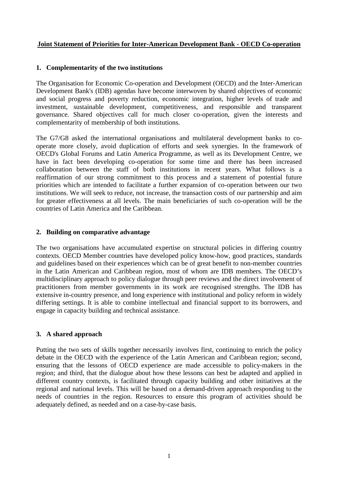## **Joint Statement of Priorities for Inter-American Development Bank - OECD Co-operation**

### **1. Complementarity of the two institutions**

The Organisation for Economic Co-operation and Development (OECD) and the Inter-American Development Bank's (IDB) agendas have become interwoven by shared objectives of economic and social progress and poverty reduction, economic integration, higher levels of trade and investment, sustainable development, competitiveness, and responsible and transparent governance. Shared objectives call for much closer co-operation, given the interests and complementarity of membership of both institutions.

The G7/G8 asked the international organisations and multilateral development banks to cooperate more closely, avoid duplication of efforts and seek synergies. In the framework of OECD's Global Forums and Latin America Programme, as well as its Development Centre, we have in fact been developing co-operation for some time and there has been increased collaboration between the staff of both institutions in recent years. What follows is a reaffirmation of our strong commitment to this process and a statement of potential future priorities which are intended to facilitate a further expansion of co-operation between our two institutions. We will seek to reduce, not increase, the transaction costs of our partnership and aim for greater effectiveness at all levels. The main beneficiaries of such co-operation will be the countries of Latin America and the Caribbean.

## **2. Building on comparative advantage**

The two organisations have accumulated expertise on structural policies in differing country contexts. OECD Member countries have developed policy know-how, good practices, standards and guidelines based on their experiences which can be of great benefit to non-member countries in the Latin American and Caribbean region, most of whom are IDB members. The OECD's multidisciplinary approach to policy dialogue through peer reviews and the direct involvement of practitioners from member governments in its work are recognised strengths. The IDB has extensive in-country presence, and long experience with institutional and policy reform in widely differing settings. It is able to combine intellectual and financial support to its borrowers, and engage in capacity building and technical assistance.

#### **3. A shared approach**

Putting the two sets of skills together necessarily involves first, continuing to enrich the policy debate in the OECD with the experience of the Latin American and Caribbean region; second, ensuring that the lessons of OECD experience are made accessible to policy-makers in the region; and third, that the dialogue about how these lessons can best be adapted and applied in different country contexts, is facilitated through capacity building and other initiatives at the regional and national levels. This will be based on a demand-driven approach responding to the needs of countries in the region. Resources to ensure this program of activities should be adequately defined, as needed and on a case-by-case basis.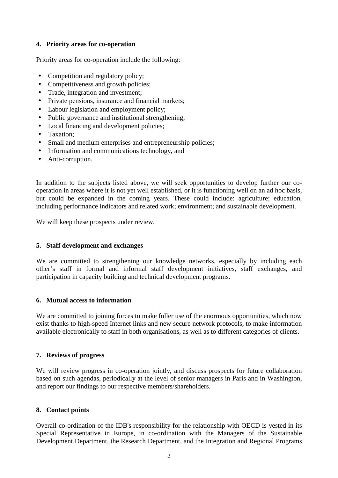# **4. Priority areas for co-operation**

Priority areas for co-operation include the following:

- Competition and regulatory policy;
- Competitiveness and growth policies:
- Trade, integration and investment;
- Private pensions, insurance and financial markets;
- Labour legislation and employment policy;
- Public governance and institutional strengthening;
- Local financing and development policies;
- Taxation:
- Small and medium enterprises and entrepreneurship policies;
- Information and communications technology, and
- Anti-corruption.

In addition to the subjects listed above, we will seek opportunities to develop further our cooperation in areas where it is not yet well established, or it is functioning well on an ad hoc basis, but could be expanded in the coming years. These could include: agriculture; education, including performance indicators and related work; environment; and sustainable development.

We will keep these prospects under review.

#### **5. Staff development and exchanges**

We are committed to strengthening our knowledge networks, especially by including each other's staff in formal and informal staff development initiatives, staff exchanges, and participation in capacity building and technical development programs.

#### **6. Mutual access to information**

We are committed to joining forces to make fuller use of the enormous opportunities, which now exist thanks to high-speed Internet links and new secure network protocols, to make information available electronically to staff in both organisations, as well as to different categories of clients.

#### **7. Reviews of progress**

We will review progress in co-operation jointly, and discuss prospects for future collaboration based on such agendas, periodically at the level of senior managers in Paris and in Washington, and report our findings to our respective members/shareholders.

# **8. Contact points**

Overall co-ordination of the IDB's responsibility for the relationship with OECD is vested in its Special Representative in Europe, in co-ordination with the Managers of the Sustainable Development Department, the Research Department, and the Integration and Regional Programs